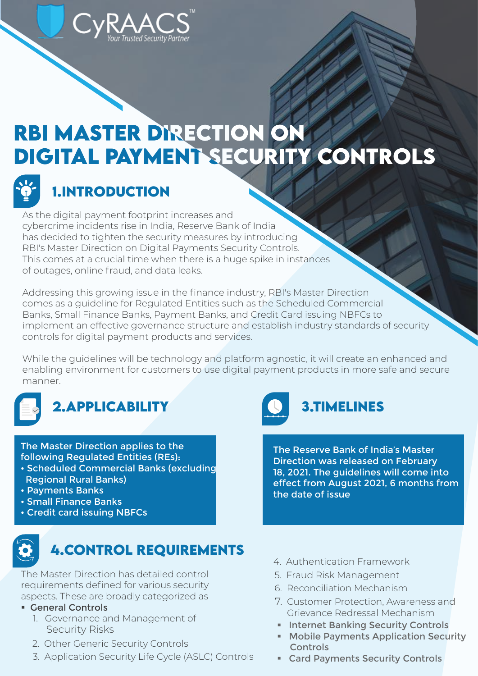# RBI MASTER DIRECTION ON DIGITAL PAYMENT SECURITY CONTROLS



# **1.INTRODUCTION**

As the digital payment footprint increases and cybercrime incidents rise in India, Reserve Bank of India has decided to tighten the security measures by introducing RBI's Master Direction on Digital Payments Security Controls. This comes at a crucial time when there is a huge spike in instances of outages, online fraud, and data leaks.

Trusted Security Partner

Addressing this growing issue in the finance industry, RBI's Master Direction comes as a guideline for Regulated Entities such as the Scheduled Commercial Banks, Small Finance Banks, Payment Banks, and Credit Card issuing NBFCs to implement an effective governance structure and establish industry standards of security controls for digital payment products and services.

While the guidelines will be technology and platform agnostic, it will create an enhanced and enabling environment for customers to use digital payment products in more safe and secure manner.

# **2.APPLiCABiLiTY 3.TIMELINES**

The Master Direction applies to the following Regulated Entities (REs):

- Scheduled Commercial Banks (excluding Regional Rural Banks)
- Payments Banks
- Small Finance Banks
- Credit card issuing NBFCs



The Master Direction has detailed control requirements defined for various security aspects. These are broadly categorized as

### **E** General Controls

- 1. Governance and Management of Security Risks
- 2. Other Generic Security Controls
- 3. Application Security Life Cycle (ASLC) Controls



The Reserve Bank of India's Master Direction was released on February 18, 2021. The guidelines will come into effect from August 2021, 6 months from the date of issue

- 4. Authentication Framework
- 5. Fraud Risk Management
- 6. Reconciliation Mechanism
- 7. Customer Protection, Awareness and Grievance Redressal Mechanism
	- **Ending Security Controls**
	- **Mobile Payments Application Security Controls**
	- Card Payments Security Controls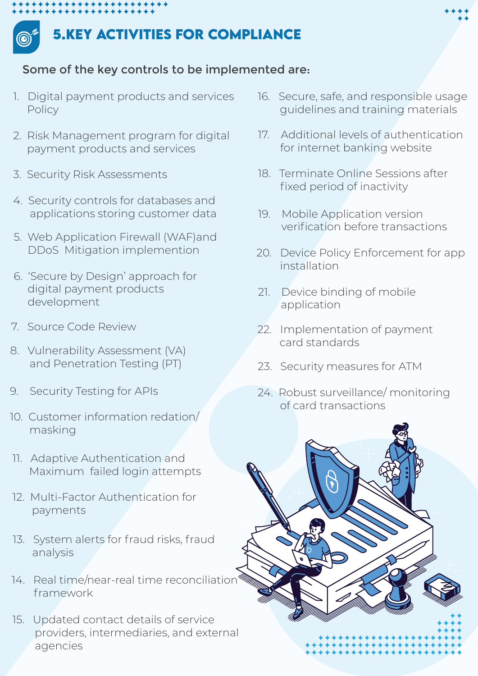

## **5.KEY ACTiViTiES FOR COMPLiANCE**

### Some of the key controls to be implemented are:

- 1. Digital payment products and services Policy
- 2. Risk Management program for digital payment products and services
- 3. Security Risk Assessments
- 4. Security controls for databases and applications storing customer data
- 5. Web Application Firewall (WAF)and DDoS Mitigation implemention
- 6. 'Secure by Design' approach for digital payment products development
- 7. Source Code Review
- 8. Vulnerability Assessment (VA) and Penetration Testing (PT)
- 9. Security Testing for APIs
- 10. Customer information redation/ masking
- 11. Adaptive Authentication and Maximum failed login attempts
- 12. Multi-Factor Authentication for payments
- 13. System alerts for fraud risks, fraud analysis
- 14. Real time/near-real time reconciliation framework
- 15. Updated contact details of service providers, intermediaries, and external agencies
- 16. Secure, safe, and responsible usage guidelines and training materials
- 17. Additional levels of authentication for internet banking website
- 18. Terminate Online Sessions after fixed period of inactivity
- 19. Mobile Application version verification before transactions
- 20. Device Policy Enforcement for app installation
- 21. Device binding of mobile application
- 22. Implementation of payment card standards
- 23. Security measures for ATM
- 24. Robust surveillance/ monitoring of card transactions